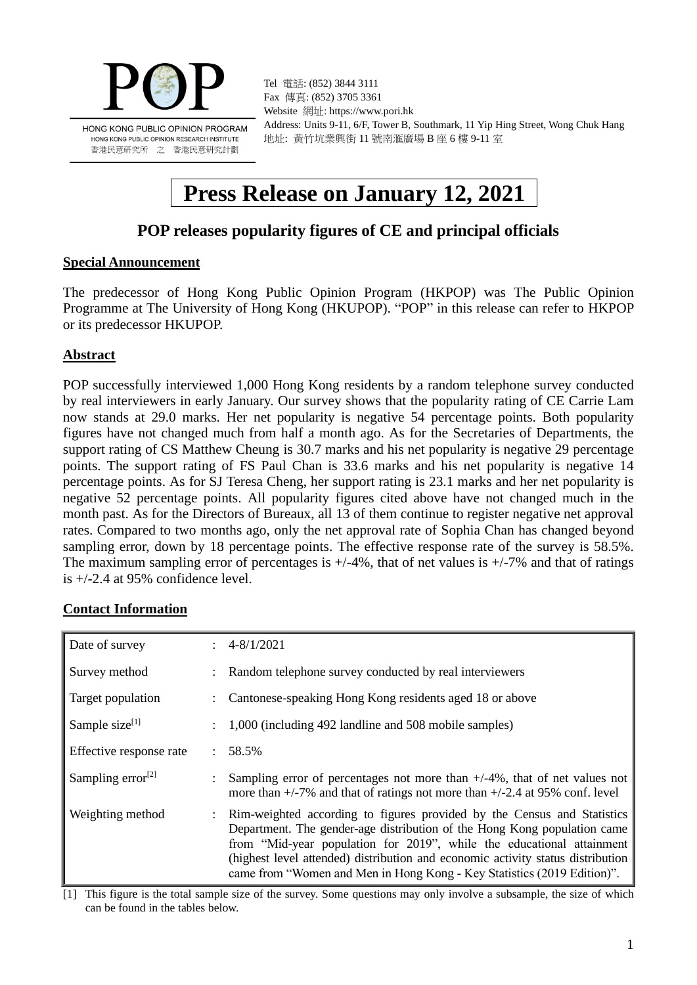

Tel 電話: (852) 3844 3111 Fax 傳真: (852) 3705 3361 Website 網址: https://www.pori.hk Address: Units 9-11, 6/F, Tower B, Southmark, 11 Yip Hing Street, Wong Chuk Hang 地址: 黃竹坑業興街 11 號南滙廣場 B 座 6 樓 9-11 室

# **Press Release on January 12, 2021**

# **POP releases popularity figures of CE and principal officials**

#### **Special Announcement**

The predecessor of Hong Kong Public Opinion Program (HKPOP) was The Public Opinion Programme at The University of Hong Kong (HKUPOP). "POP" in this release can refer to HKPOP or its predecessor HKUPOP.

# **Abstract**

POP successfully interviewed 1,000 Hong Kong residents by a random telephone survey conducted by real interviewers in early January. Our survey shows that the popularity rating of CE Carrie Lam now stands at 29.0 marks. Her net popularity is negative 54 percentage points. Both popularity figures have not changed much from half a month ago. As for the Secretaries of Departments, the support rating of CS Matthew Cheung is 30.7 marks and his net popularity is negative 29 percentage points. The support rating of FS Paul Chan is 33.6 marks and his net popularity is negative 14 percentage points. As for SJ Teresa Cheng, her support rating is 23.1 marks and her net popularity is negative 52 percentage points. All popularity figures cited above have not changed much in the month past. As for the Directors of Bureaux, all 13 of them continue to register negative net approval rates. Compared to two months ago, only the net approval rate of Sophia Chan has changed beyond sampling error, down by 18 percentage points. The effective response rate of the survey is 58.5%. The maximum sampling error of percentages is  $+/-4\%$ , that of net values is  $+/-7\%$  and that of ratings is +/-2.4 at 95% confidence level.

#### **Contact Information**

| Date of survey          | $\div$ 4-8/1/2021                                                                                                                                                                                                                                                                                                                                                                            |
|-------------------------|----------------------------------------------------------------------------------------------------------------------------------------------------------------------------------------------------------------------------------------------------------------------------------------------------------------------------------------------------------------------------------------------|
| Survey method           | Random telephone survey conducted by real interviewers                                                                                                                                                                                                                                                                                                                                       |
| Target population       | Cantonese-speaking Hong Kong residents aged 18 or above                                                                                                                                                                                                                                                                                                                                      |
| Sample size $[1]$       | 1,000 (including 492 landline and 508 mobile samples)                                                                                                                                                                                                                                                                                                                                        |
| Effective response rate | $: 58.5\%$                                                                                                                                                                                                                                                                                                                                                                                   |
| Sampling error $^{[2]}$ | Sampling error of percentages not more than $+/-4\%$ , that of net values not<br>more than $+/-7\%$ and that of ratings not more than $+/-2.4$ at 95% conf. level                                                                                                                                                                                                                            |
| Weighting method        | : Rim-weighted according to figures provided by the Census and Statistics<br>Department. The gender-age distribution of the Hong Kong population came<br>from "Mid-year population for 2019", while the educational attainment<br>(highest level attended) distribution and economic activity status distribution<br>came from "Women and Men in Hong Kong - Key Statistics (2019 Edition)". |

[1] This figure is the total sample size of the survey. Some questions may only involve a subsample, the size of which can be found in the tables below.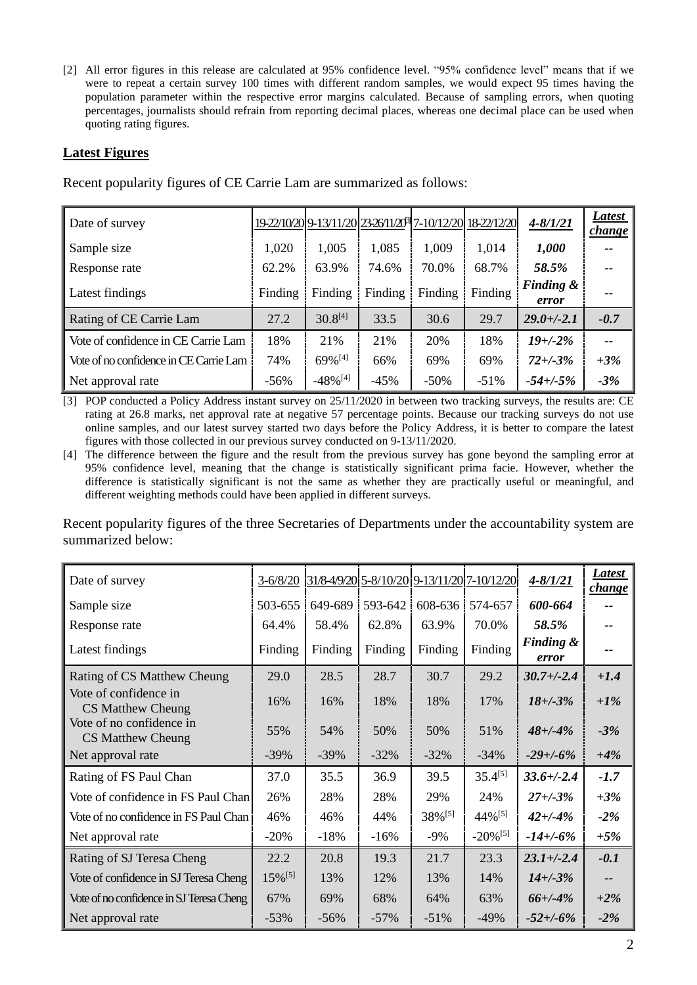[2] All error figures in this release are calculated at 95% confidence level. "95% confidence level" means that if we were to repeat a certain survey 100 times with different random samples, we would expect 95 times having the population parameter within the respective error margins calculated. Because of sampling errors, when quoting percentages, journalists should refrain from reporting decimal places, whereas one decimal place can be used when quoting rating figures.

### **Latest Figures**

| Date of survey                         |         |                        |         |         | 19-22/10/20 9-13/11/20 23-26/11/20 7-10/12/20 18-22/12/20 | $4 - 8/1/21$                  | Latest<br><i>change</i> |
|----------------------------------------|---------|------------------------|---------|---------|-----------------------------------------------------------|-------------------------------|-------------------------|
| Sample size                            | 1,020   | 1,005                  | 1,085   | 1,009   | 1,014                                                     | 1,000                         |                         |
| Response rate                          | 62.2%   | 63.9%                  | 74.6%   | 70.0%   | 68.7%                                                     | 58.5%                         |                         |
| Latest findings                        | Finding | Finding                | Finding | Finding | Finding                                                   | <b>Finding &amp;</b><br>error |                         |
| Rating of CE Carrie Lam                | 27.2    | $30.8^{[4]}$           | 33.5    | 30.6    | 29.7                                                      | $29.0 + (-2.1)$               | $-0.7$                  |
| Vote of confidence in CE Carrie Lam    | 18%     | 21%                    | 21%     | 20%     | 18%                                                       | $19 + (-2%)$                  | $- -$                   |
| Vote of no confidence in CE Carrie Lam | 74%     | 69%[4]                 | 66%     | 69%     | 69%                                                       | $72 + (-3)$ %                 | $+3%$                   |
| Net approval rate                      | $-56%$  | $-48\%$ <sup>[4]</sup> | $-45%$  | $-50\%$ | $-51%$                                                    | $-54 + (-5\%$                 | $-3%$                   |

Recent popularity figures of CE Carrie Lam are summarized as follows:

[3] POP conducted a Policy Address instant survey on 25/11/2020 in between two tracking surveys, the results are: CE rating at 26.8 marks, net approval rate at negative 57 percentage points. Because our tracking surveys do not use online samples, and our latest survey started two days before the Policy Address, it is better to compare the latest figures with those collected in our previous survey conducted on 9-13/11/2020.

[4] The difference between the figure and the result from the previous survey has gone beyond the sampling error at 95% confidence level, meaning that the change is statistically significant prima facie. However, whether the difference is statistically significant is not the same as whether they are practically useful or meaningful, and different weighting methods could have been applied in different surveys.

Recent popularity figures of the three Secretaries of Departments under the accountability system are summarized below:

| Date of survey                                | $3 - 6/8/20$          |         |         |         | 31/8-4/9/20 5-8/10/20 9-13/11/20 7-10/12/20 | $4 - 8/1/21$                  | Latest<br><i>change</i> |
|-----------------------------------------------|-----------------------|---------|---------|---------|---------------------------------------------|-------------------------------|-------------------------|
| Sample size                                   | 503-655               | 649-689 | 593-642 | 608-636 | 574-657                                     | 600-664                       |                         |
| Response rate                                 | 64.4%                 | 58.4%   | 62.8%   | 63.9%   | 70.0%                                       | 58.5%                         | --                      |
| Latest findings                               | Finding               | Finding | Finding | Finding | Finding                                     | <b>Finding &amp;</b><br>error | --                      |
| Rating of CS Matthew Cheung                   | 29.0                  | 28.5    | 28.7    | 30.7    | 29.2                                        | $30.7 + (-2.4)$               | $+1.4$                  |
| Vote of confidence in<br>CS Matthew Cheung    | 16%                   | 16%     | 18%     | 18%     | 17%                                         | $18 + (-3%)$                  | $+1\%$                  |
| Vote of no confidence in<br>CS Matthew Cheung | 55%                   | 54%     | 50%     | 50%     | 51%                                         | $48 + (-4%)$                  | $-3%$                   |
| Net approval rate                             | $-39%$                | $-39%$  | $-32%$  | $-32%$  | $-34%$                                      | $-29 + (-6%)$                 | $+4%$                   |
| Rating of FS Paul Chan                        | 37.0                  | 35.5    | 36.9    | 39.5    | $35.4^{[5]}$                                | $33.6 + (-2.4)$               | $-1.7$                  |
| Vote of confidence in FS Paul Chan            | 26%                   | 28%     | 28%     | 29%     | 24%                                         | $27 + (-3%)$                  | $+3%$                   |
| Vote of no confidence in FS Paul Chan         | 46%                   | 46%     | 44%     | 38%[5]  | $44\%$ <sup>[5]</sup>                       | $42 + (-4%)$                  | $-2%$                   |
| Net approval rate                             | $-20%$                | $-18%$  | $-16%$  | $-9%$   | $-20\%$ <sup>[5]</sup>                      | $-14 + (-6%)$                 | $+5%$                   |
| Rating of SJ Teresa Cheng                     | 22.2                  | 20.8    | 19.3    | 21.7    | 23.3                                        | $23.1 + (-2.4)$               | $-0.1$                  |
| Vote of confidence in SJ Teresa Cheng         | $15\%$ <sup>[5]</sup> | 13%     | 12%     | 13%     | 14%                                         | $14 + (-3%)$                  | --                      |
| Vote of no confidence in SJ Teresa Cheng      | 67%                   | 69%     | 68%     | 64%     | 63%                                         | $66+/-4%$                     | $+2\%$                  |
| Net approval rate                             | $-53%$                | $-56%$  | $-57\%$ | $-51%$  | $-49\%$                                     | $-52 + (-6%)$                 | $-2%$                   |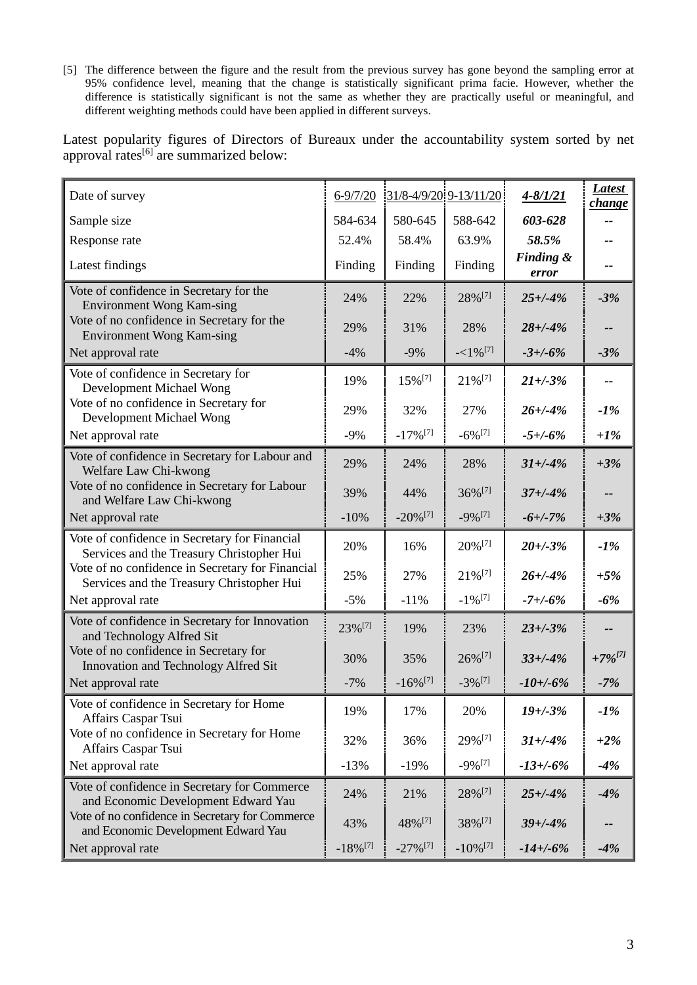[5] The difference between the figure and the result from the previous survey has gone beyond the sampling error at 95% confidence level, meaning that the change is statistically significant prima facie. However, whether the difference is statistically significant is not the same as whether they are practically useful or meaningful, and different weighting methods could have been applied in different surveys.

Latest popularity figures of Directors of Bureaux under the accountability system sorted by net approval rates<sup>[6]</sup> are summarized below:

| Date of survey                                                                                | $6 - 9/7/20$           | $31/8 - 4/9/20$ 9-13/11/20 |                        | $4 - 8/1/21$                  | <b>Latest</b><br>change |
|-----------------------------------------------------------------------------------------------|------------------------|----------------------------|------------------------|-------------------------------|-------------------------|
| Sample size                                                                                   | 584-634                | 580-645                    | 588-642                | 603-628                       |                         |
| Response rate                                                                                 | 52.4%                  | 58.4%                      | 63.9%                  | 58.5%                         |                         |
| Latest findings                                                                               | Finding                | Finding                    | Finding                | <b>Finding &amp;</b><br>error | --                      |
| Vote of confidence in Secretary for the<br><b>Environment Wong Kam-sing</b>                   | 24%                    | 22%                        | 28%[7]                 | $25 + (-4%)$                  | $-3%$                   |
| Vote of no confidence in Secretary for the<br><b>Environment Wong Kam-sing</b>                | 29%                    | 31%                        | 28%                    | $28 + (-4%)$                  | --                      |
| Net approval rate                                                                             | $-4%$                  | $-9%$                      | $-<1\%$ <sup>[7]</sup> | $-3+/-6%$                     | $-3%$                   |
| Vote of confidence in Secretary for<br>Development Michael Wong                               | 19%                    | 15%[7]                     | 21%[7]                 | $21 + (-3%)$                  | --                      |
| Vote of no confidence in Secretary for<br>Development Michael Wong                            | 29%                    | 32%                        | 27%                    | $26 + (-4%$                   | $-1%$                   |
| Net approval rate                                                                             | $-9%$                  | $-17\%$ <sup>[7]</sup>     | $-6\%$ <sup>[7]</sup>  | $-5 + (-6)$                   | $+1%$                   |
| Vote of confidence in Secretary for Labour and<br>Welfare Law Chi-kwong                       | 29%                    | 24%                        | 28%                    | $31 + (-4%)$                  | $+3%$                   |
| Vote of no confidence in Secretary for Labour<br>and Welfare Law Chi-kwong                    | 39%                    | 44%                        | $36\%$ <sup>[7]</sup>  | $37 + (-4%)$                  |                         |
| Net approval rate                                                                             | $-10%$                 | $-20\%$ <sup>[7]</sup>     | $-9\%$ <sup>[7]</sup>  | $-6 + (-7%)$                  | $+3%$                   |
| Vote of confidence in Secretary for Financial<br>Services and the Treasury Christopher Hui    | 20%                    | 16%                        | 20% [7]                | $20 + (-3)$ %                 | $-1%$                   |
| Vote of no confidence in Secretary for Financial<br>Services and the Treasury Christopher Hui | 25%                    | 27%                        | $21\%$ <sup>[7]</sup>  | $26 + (-4%$                   | $+5%$                   |
| Net approval rate                                                                             | $-5%$                  | $-11%$                     | $-1\%$ <sup>[7]</sup>  | $-7 + (-6%)$                  | $-6%$                   |
| Vote of confidence in Secretary for Innovation<br>and Technology Alfred Sit                   | 23%[7]                 | 19%                        | 23%                    | $23 + (-3)$ %                 | --                      |
| Vote of no confidence in Secretary for<br>Innovation and Technology Alfred Sit                | 30%                    | 35%                        | $26\%$ <sup>[7]</sup>  | $33 + (-4)$                   | $+7\%^{[7]}$            |
| Net approval rate                                                                             | $-7%$                  | $-16\%$ <sup>[7]</sup>     | $-3\%$ <sup>[7]</sup>  | $-10 + (-6%)$                 | $-7%$                   |
| Vote of confidence in Secretary for Home<br>Affairs Caspar Tsui                               | 19%                    | 17%                        | 20%                    | $19 + (-3%)$                  | $-1\%$                  |
| Vote of no confidence in Secretary for Home<br>Affairs Caspar Tsui                            | 32%                    | 36%                        | 29%[7]                 | $31 + (-4%)$                  | $+2\%$                  |
| Net approval rate                                                                             | $-13%$                 | $-19%$                     | $-9\%$ <sup>[7]</sup>  | $-13 + (-6%)$                 | $-4%$                   |
| Vote of confidence in Secretary for Commerce<br>and Economic Development Edward Yau           | 24%                    | 21%                        | 28%[7]                 | $25 + (-4%)$                  | $-4%$                   |
| Vote of no confidence in Secretary for Commerce<br>and Economic Development Edward Yau        | 43%                    | 48% [7]                    | 38%[7]                 | $39 + (-4%)$                  |                         |
| Net approval rate                                                                             | $-18\%$ <sup>[7]</sup> | $-27\%$ <sup>[7]</sup>     | $-10\%$ <sup>[7]</sup> | $-14 + (-6%)$                 | $-4%$                   |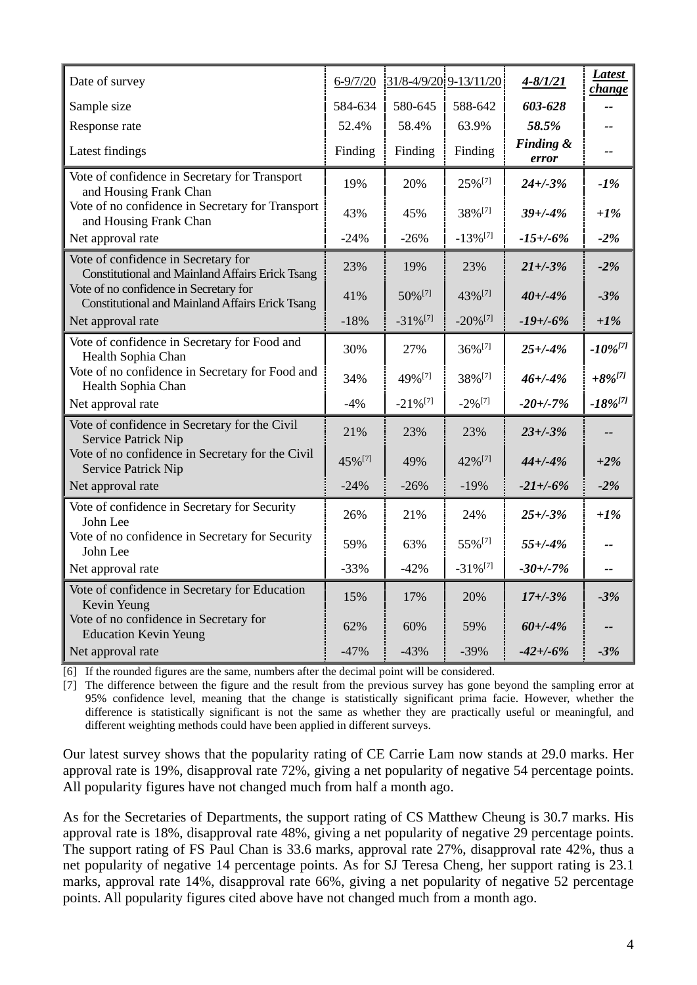| Date of survey                                                                                   | $6 - 9/7/20$       |                        | 31/8-4/9/20 9-13/11/20 | $4 - 8/1/21$       | <b>Latest</b><br>change |
|--------------------------------------------------------------------------------------------------|--------------------|------------------------|------------------------|--------------------|-------------------------|
| Sample size                                                                                      | 584-634            | 580-645                | 588-642                | 603-628            |                         |
| Response rate                                                                                    | 52.4%              | 58.4%                  | 63.9%                  | 58.5%              | $-1$                    |
| Latest findings                                                                                  | Finding            | Finding                | Finding                | Finding &<br>error | --                      |
| Vote of confidence in Secretary for Transport<br>and Housing Frank Chan                          | 19%                | 20%                    | 25% <sup>[7]</sup>     | $24 + (-3)$ %      | $-1%$                   |
| Vote of no confidence in Secretary for Transport<br>and Housing Frank Chan                       | 43%                | 45%                    | 38% <sup>[7]</sup>     | $39 + (-4%$        | $+1\%$                  |
| Net approval rate                                                                                | $-24%$             | $-26%$                 | $-13\%$ <sup>[7]</sup> | $-15 + (-6%)$      | $-2%$                   |
| Vote of confidence in Secretary for<br><b>Constitutional and Mainland Affairs Erick Tsang</b>    | 23%                | 19%                    | 23%                    | $21 + (-3%)$       | $-2%$                   |
| Vote of no confidence in Secretary for<br><b>Constitutional and Mainland Affairs Erick Tsang</b> | 41%                | 50% [7]                | 43% [7]                | $40 + (-4%)$       | $-3%$                   |
| Net approval rate                                                                                | $-18%$             | $-31\%$ <sup>[7]</sup> | $-20\%$ <sup>[7]</sup> | $-19 + (-6%)$      | $+1\%$                  |
| Vote of confidence in Secretary for Food and<br>Health Sophia Chan                               | 30%                | 27%                    | 36%[7]                 | $25 + (-4%)$       | $-10\%^{[7]}$           |
| Vote of no confidence in Secretary for Food and<br>Health Sophia Chan                            | 34%                | 49% [7]                | 38% <sup>[7]</sup>     | $46 + (-4%)$       | $+8\%^{[7]}$            |
| Net approval rate                                                                                | $-4%$              | $-21\%$ <sup>[7]</sup> | $-2\%$ <sup>[7]</sup>  | $-20 + (-7%)$      | $-18\%^{[7]}$           |
| Vote of confidence in Secretary for the Civil<br><b>Service Patrick Nip</b>                      | 21%                | 23%                    | 23%                    | $23 + (-3)$ %      | --                      |
| Vote of no confidence in Secretary for the Civil<br>Service Patrick Nip                          | 45% <sup>[7]</sup> | 49%                    | 42% <sup>[7]</sup>     | $44 + (-4)$        | $+2\%$                  |
| Net approval rate                                                                                | $-24%$             | $-26%$                 | $-19%$                 | $-21 + (-6%)$      | $-2%$                   |
| Vote of confidence in Secretary for Security<br>John Lee                                         | 26%                | 21%                    | 24%                    | $25 + (-3%)$       | $+1\%$                  |
| Vote of no confidence in Secretary for Security<br>John Lee                                      | 59%                | 63%                    | 55% <sup>[7]</sup>     | $55 + (-4%)$       |                         |
| Net approval rate                                                                                | $-33%$             | $-42%$                 | $-31\%$ <sup>[7]</sup> | $-30 + -7%$        | --                      |
| Vote of confidence in Secretary for Education<br>Kevin Yeung                                     | 15%                | 17%                    | 20%                    | $17 + (-3%)$       | $-3%$                   |
| Vote of no confidence in Secretary for<br><b>Education Kevin Yeung</b>                           | 62%                | 60%                    | 59%                    | $60 + (-4%)$       | --                      |
| Net approval rate                                                                                | $-47%$             | $-43%$                 | $-39%$                 | $-42 + (-6)$       | $-3%$                   |

[6] If the rounded figures are the same, numbers after the decimal point will be considered.

[7] The difference between the figure and the result from the previous survey has gone beyond the sampling error at 95% confidence level, meaning that the change is statistically significant prima facie. However, whether the difference is statistically significant is not the same as whether they are practically useful or meaningful, and different weighting methods could have been applied in different surveys.

Our latest survey shows that the popularity rating of CE Carrie Lam now stands at 29.0 marks. Her approval rate is 19%, disapproval rate 72%, giving a net popularity of negative 54 percentage points. All popularity figures have not changed much from half a month ago.

As for the Secretaries of Departments, the support rating of CS Matthew Cheung is 30.7 marks. His approval rate is 18%, disapproval rate 48%, giving a net popularity of negative 29 percentage points. The support rating of FS Paul Chan is 33.6 marks, approval rate 27%, disapproval rate 42%, thus a net popularity of negative 14 percentage points. As for SJ Teresa Cheng, her support rating is 23.1 marks, approval rate 14%, disapproval rate 66%, giving a net popularity of negative 52 percentage points. All popularity figures cited above have not changed much from a month ago.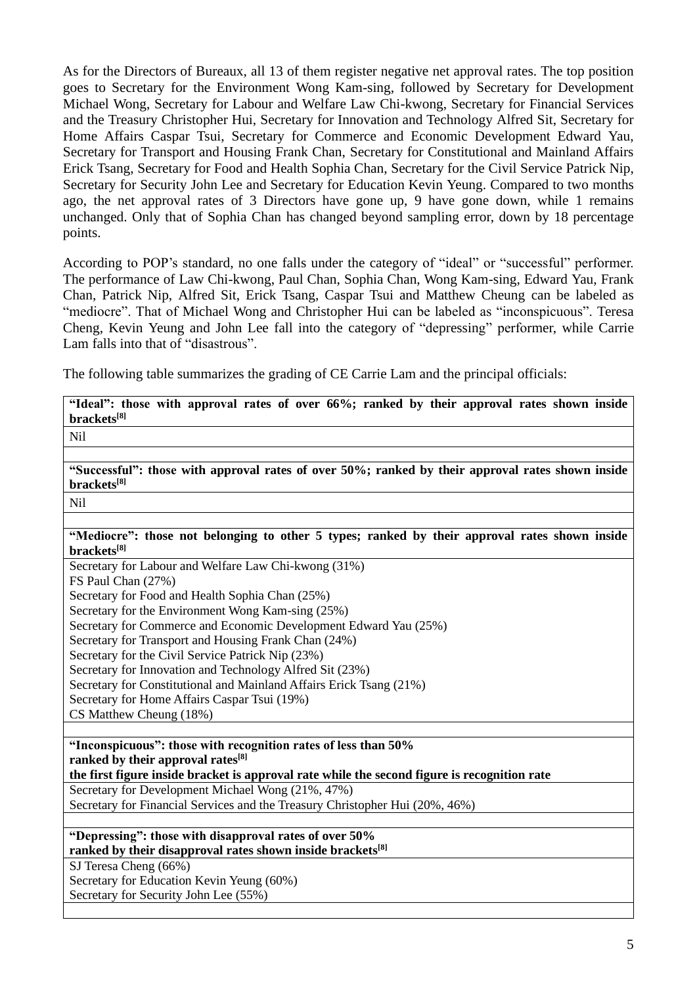As for the Directors of Bureaux, all 13 of them register negative net approval rates. The top position goes to Secretary for the Environment Wong Kam-sing, followed by Secretary for Development Michael Wong, Secretary for Labour and Welfare Law Chi-kwong, Secretary for Financial Services and the Treasury Christopher Hui, Secretary for Innovation and Technology Alfred Sit, Secretary for Home Affairs Caspar Tsui, Secretary for Commerce and Economic Development Edward Yau, Secretary for Transport and Housing Frank Chan, Secretary for Constitutional and Mainland Affairs Erick Tsang, Secretary for Food and Health Sophia Chan, Secretary for the Civil Service Patrick Nip, Secretary for Security John Lee and Secretary for Education Kevin Yeung. Compared to two months ago, the net approval rates of 3 Directors have gone up, 9 have gone down, while 1 remains unchanged. Only that of Sophia Chan has changed beyond sampling error, down by 18 percentage points.

According to POP's standard, no one falls under the category of "ideal" or "successful" performer. The performance of Law Chi-kwong, Paul Chan, Sophia Chan, Wong Kam-sing, Edward Yau, Frank Chan, Patrick Nip, Alfred Sit, Erick Tsang, Caspar Tsui and Matthew Cheung can be labeled as "mediocre". That of Michael Wong and Christopher Hui can be labeled as "inconspicuous". Teresa Cheng, Kevin Yeung and John Lee fall into the category of "depressing" performer, while Carrie Lam falls into that of "disastrous".

The following table summarizes the grading of CE Carrie Lam and the principal officials:

| "Ideal": those with approval rates of over 66%; ranked by their approval rates shown inside                     |
|-----------------------------------------------------------------------------------------------------------------|
| brackets[8]                                                                                                     |
| <b>Nil</b>                                                                                                      |
|                                                                                                                 |
| "Successful": those with approval rates of over 50%; ranked by their approval rates shown inside<br>brackets[8] |
|                                                                                                                 |
| <b>Nil</b>                                                                                                      |
|                                                                                                                 |
| "Mediocre": those not belonging to other 5 types; ranked by their approval rates shown inside<br>brackets[8]    |
| Secretary for Labour and Welfare Law Chi-kwong (31%)                                                            |
| FS Paul Chan (27%)                                                                                              |
| Secretary for Food and Health Sophia Chan (25%)                                                                 |
| Secretary for the Environment Wong Kam-sing (25%)                                                               |
| Secretary for Commerce and Economic Development Edward Yau (25%)                                                |
| Secretary for Transport and Housing Frank Chan (24%)                                                            |
| Secretary for the Civil Service Patrick Nip (23%)                                                               |
| Secretary for Innovation and Technology Alfred Sit (23%)                                                        |
| Secretary for Constitutional and Mainland Affairs Erick Tsang (21%)                                             |
| Secretary for Home Affairs Caspar Tsui (19%)                                                                    |
| CS Matthew Cheung (18%)                                                                                         |
|                                                                                                                 |
| "Inconspicuous": those with recognition rates of less than 50%                                                  |
| ranked by their approval rates <sup>[8]</sup>                                                                   |
| the first figure inside bracket is approval rate while the second figure is recognition rate                    |
| Secretary for Development Michael Wong (21%, 47%)                                                               |
| Secretary for Financial Services and the Treasury Christopher Hui (20%, 46%)                                    |
|                                                                                                                 |
| "Depressing": those with disapproval rates of over 50%                                                          |
| ranked by their disapproval rates shown inside brackets <sup>[8]</sup>                                          |
| SJ Teresa Cheng (66%)                                                                                           |
| Secretary for Education Kevin Yeung (60%)                                                                       |
| Secretary for Security John Lee (55%)                                                                           |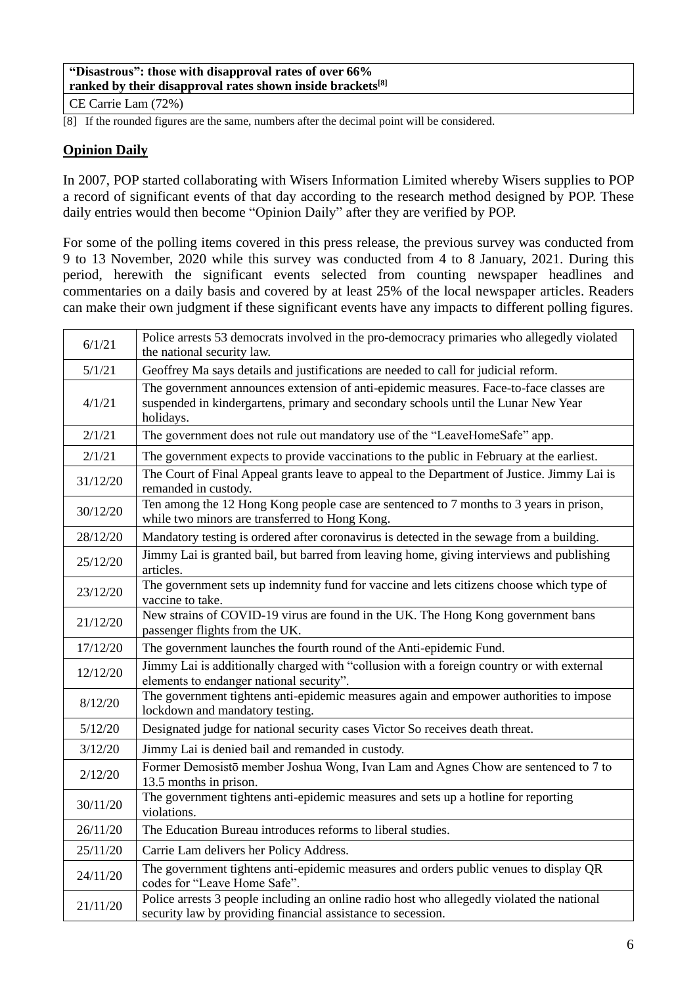#### **"Disastrous": those with disapproval rates of over 66% ranked by their disapproval rates shown inside brackets[8]**

CE Carrie Lam (72%)

[8] If the rounded figures are the same, numbers after the decimal point will be considered.

# **Opinion Daily**

In 2007, POP started collaborating with Wisers Information Limited whereby Wisers supplies to POP a record of significant events of that day according to the research method designed by POP. These daily entries would then become "Opinion Daily" after they are verified by POP.

For some of the polling items covered in this press release, the previous survey was conducted from 9 to 13 November, 2020 while this survey was conducted from 4 to 8 January, 2021. During this period, herewith the significant events selected from counting newspaper headlines and commentaries on a daily basis and covered by at least 25% of the local newspaper articles. Readers can make their own judgment if these significant events have any impacts to different polling figures.

| 6/1/21   | Police arrests 53 democrats involved in the pro-democracy primaries who allegedly violated<br>the national security law.                                                                  |
|----------|-------------------------------------------------------------------------------------------------------------------------------------------------------------------------------------------|
| 5/1/21   | Geoffrey Ma says details and justifications are needed to call for judicial reform.                                                                                                       |
| 4/1/21   | The government announces extension of anti-epidemic measures. Face-to-face classes are<br>suspended in kindergartens, primary and secondary schools until the Lunar New Year<br>holidays. |
| 2/1/21   | The government does not rule out mandatory use of the "LeaveHomeSafe" app.                                                                                                                |
| 2/1/21   | The government expects to provide vaccinations to the public in February at the earliest.                                                                                                 |
| 31/12/20 | The Court of Final Appeal grants leave to appeal to the Department of Justice. Jimmy Lai is<br>remanded in custody.                                                                       |
| 30/12/20 | Ten among the 12 Hong Kong people case are sentenced to 7 months to 3 years in prison,<br>while two minors are transferred to Hong Kong.                                                  |
| 28/12/20 | Mandatory testing is ordered after coronavirus is detected in the sewage from a building.                                                                                                 |
| 25/12/20 | Jimmy Lai is granted bail, but barred from leaving home, giving interviews and publishing<br>articles.                                                                                    |
| 23/12/20 | The government sets up indemnity fund for vaccine and lets citizens choose which type of<br>vaccine to take.                                                                              |
| 21/12/20 | New strains of COVID-19 virus are found in the UK. The Hong Kong government bans<br>passenger flights from the UK.                                                                        |
| 17/12/20 | The government launches the fourth round of the Anti-epidemic Fund.                                                                                                                       |
| 12/12/20 | Jimmy Lai is additionally charged with "collusion with a foreign country or with external<br>elements to endanger national security".                                                     |
| 8/12/20  | The government tightens anti-epidemic measures again and empower authorities to impose<br>lockdown and mandatory testing.                                                                 |
| 5/12/20  | Designated judge for national security cases Victor So receives death threat.                                                                                                             |
| 3/12/20  | Jimmy Lai is denied bail and remanded in custody.                                                                                                                                         |
| 2/12/20  | Former Demosistō member Joshua Wong, Ivan Lam and Agnes Chow are sentenced to 7 to<br>13.5 months in prison.                                                                              |
| 30/11/20 | The government tightens anti-epidemic measures and sets up a hotline for reporting<br>violations.                                                                                         |
| 26/11/20 | The Education Bureau introduces reforms to liberal studies.                                                                                                                               |
| 25/11/20 | Carrie Lam delivers her Policy Address.                                                                                                                                                   |
| 24/11/20 | The government tightens anti-epidemic measures and orders public venues to display QR<br>codes for "Leave Home Safe".                                                                     |
| 21/11/20 | Police arrests 3 people including an online radio host who allegedly violated the national<br>security law by providing financial assistance to secession.                                |